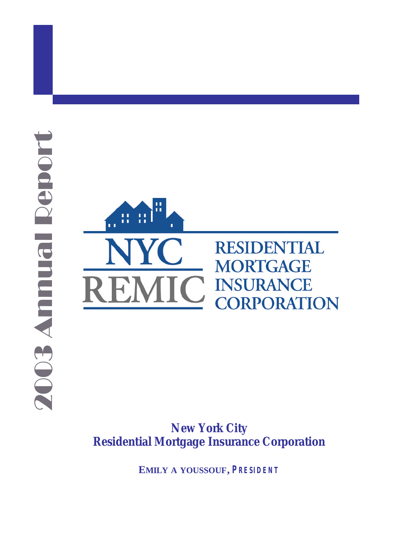



*New York City Residential Mortgage Insurance Corporation*

**EMILY A YOUSSOUF,** *PRESIDENT*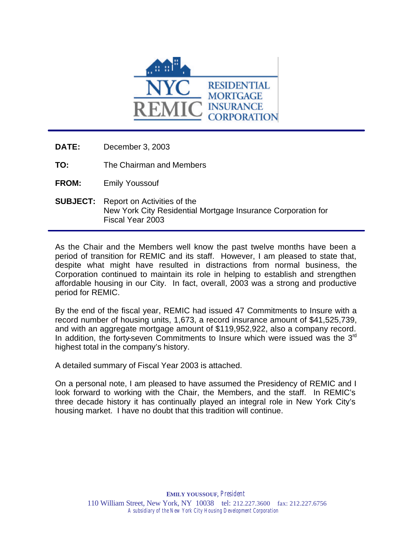

- **DATE:** December 3, 2003
- **TO:** The Chairman and Members
- **FROM:** Emily Youssouf
- **SUBJECT:** Report on Activities of the New York City Residential Mortgage Insurance Corporation for Fiscal Year 2003

As the Chair and the Members well know the past twelve months have been a period of transition for REMIC and its staff. However, I am pleased to state that, despite what might have resulted in distractions from normal business, the Corporation continued to maintain its role in helping to establish and strengthen affordable housing in our City. In fact, overall, 2003 was a strong and productive period for REMIC.

By the end of the fiscal year, REMIC had issued 47 Commitments to Insure with a record number of housing units, 1,673, a record insurance amount of \$41,525,739, and with an aggregate mortgage amount of \$119,952,922, also a company record. In addition, the forty-seven Commitments to Insure which were issued was the  $3<sup>rd</sup>$ highest total in the company's history.

A detailed summary of Fiscal Year 2003 is attached.

On a personal note, I am pleased to have assumed the Presidency of REMIC and I look forward to working with the Chair, the Members, and the staff. In REMIC's three decade history it has continually played an integral role in New York City's housing market. I have no doubt that this tradition will continue.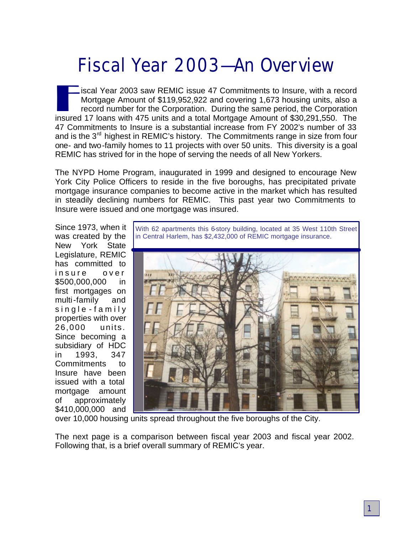# **Fiscal Year 2003—An Overview**

iscal Year 2003 saw REMIC issue 47 Commitments to Insure, with a record<br>Mortgage Amount of \$119,952,922 and covering 1,673 housing units, also a<br>record number for the Corporation. During the same period, the Corporation<br>in iscal Year 2003 saw REMIC issue 47 Commitments to Insure, with a record Mortgage Amount of \$119,952,922 and covering 1,673 housing units, also a record number for the Corporation. During the same period, the Corporation 47 Commitments to Insure is a substantial increase from FY 2002's number of 33 and is the  $3<sup>rd</sup>$  highest in REMIC's history. The Commitments range in size from four one- and two-family homes to 11 projects with over 50 units. This diversity is a goal REMIC has strived for in the hope of serving the needs of all New Yorkers.

The NYPD Home Program, inaugurated in 1999 and designed to encourage New York City Police Officers to reside in the five boroughs, has precipitated private mortgage insurance companies to become active in the market which has resulted in steadily declining numbers for REMIC. This past year two Commitments to Insure were issued and one mortgage was insured.

Since 1973, when it was created by the New York State Legislature, REMIC has committed to insure over \$500,000,000 in first mortgages on multi-family and single - famil y properties with over 26,000 units. Since becoming a subsidiary of HDC in 1993, 347 Commitments to Insure have been issued with a total mortgage amount of approximately \$410,000,000 and

With 62 apartments this 6-story building, located at 35 West 110th Street in Central Harlem, has \$2,432,000 of REMIC mortgage insurance.



over 10,000 housing units spread throughout the five boroughs of the City.

The next page is a comparison between fiscal year 2003 and fiscal year 2002. Following that, is a brief overall summary of REMIC's year.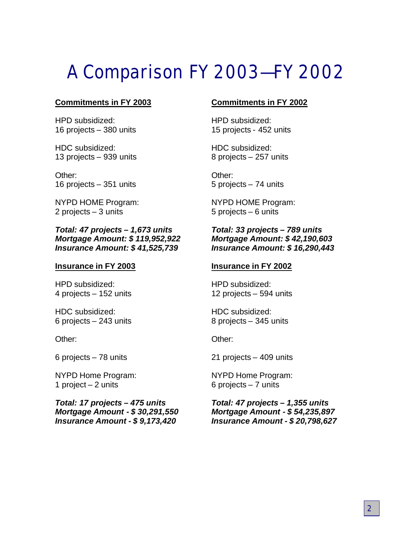# **A Comparison FY 2003—FY 2002**

### **Commitments in FY 2003**

HPD subsidized: 16 projects – 380 units

HDC subsidized: 13 projects – 939 units

Other: 16 projects – 351 units

NYPD HOME Program: 2 projects – 3 units

### *Total: 47 projects – 1,673 units Mortgage Amount: \$ 119,952,922 Insurance Amount: \$ 41,525,739*

#### **Insurance in FY 2003**

HPD subsidized: 4 projects – 152 units

HDC subsidized: 6 projects – 243 units

Other:

6 projects – 78 units

NYPD Home Program: 1 project – 2 units

*Total: 17 projects – 475 units Mortgage Amount - \$ 30,291,550 Insurance Amount - \$ 9,173,420*

### **Commitments in FY 2002**

HPD subsidized: 15 projects - 452 units

HDC subsidized: 8 projects – 257 units

Other: 5 projects – 74 units

NYPD HOME Program: 5 projects – 6 units

### *Total: 33 projects – 789 units Mortgage Amount: \$ 42,190,603 Insurance Amount: \$ 16,290,443*

#### **Insurance in FY 2002**

HPD subsidized: 12 projects – 594 units

HDC subsidized: 8 projects – 345 units

Other:

21 projects – 409 units

NYPD Home Program: 6 projects – 7 units

*Total: 47 projects – 1,355 units Mortgage Amount - \$ 54,235,897 Insurance Amount - \$ 20,798,627*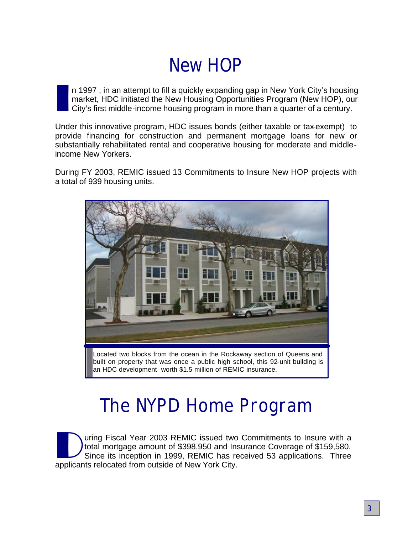# **New HOP**

I n 1997 , in an attempt to fill a quickly expanding gap in New York City's housing market, HDC initiated the New Housing Opportunities Program (New HOP), our City's first middle-income housing program in more than a quarter of a century.

Under this innovative program, HDC issues bonds (either taxable or tax-exempt) to provide financing for construction and permanent mortgage loans for new or substantially rehabilitated rental and cooperative housing for moderate and middleincome New Yorkers.

During FY 2003, REMIC issued 13 Commitments to Insure New HOP projects with a total of 939 housing units.



Located two blocks from the ocean in the Rockaway section of Queens and built on property that was once a public high school, this 92-unit building is an HDC development worth \$1.5 million of REMIC insurance.

# **The NYPD Home Program**

Uning Fiscal Year 2003 REMIC issued two total mortgage amount of \$398,950 and Instance its inception in 1999, REMIC has reapplicants relocated from outside of New York City. uring Fiscal Year 2003 REMIC issued two Commitments to Insure with a total mortgage amount of \$398,950 and Insurance Coverage of \$159,580. Since its inception in 1999, REMIC has received 53 applications. Three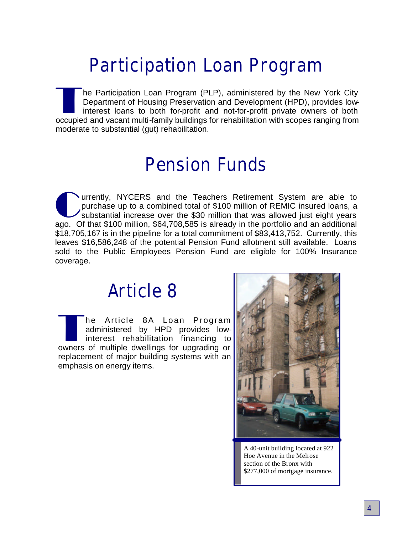## **Participation Loan Program**

The Participation Loan Program (PLP), administered by the New York City<br>Department of Housing Preservation and Development (HPD), provides low-<br>interest loans to both for-profit and not-for-profit private owners of both<br>oc he Participation Loan Program (PLP), administered by the New York City Department of Housing Preservation and Development (HPD), provides lowinterest loans to both for-profit and not-for-profit private owners of both moderate to substantial (gut) rehabilitation.

### **Pension Funds**

The University, NYCERS and the Teachers Retirement System are able to purchase up to a combined total of \$100 million of REMIC insured loans, a substantial increase over the \$30 million that was allowed just eight years ag urrently, NYCERS and the Teachers Retirement System are able to purchase up to a combined total of \$100 million of REMIC insured loans, a substantial increase over the \$30 million that was allowed just eight years \$18,705,167 is in the pipeline for a total commitment of \$83,413,752. Currently, this leaves \$16,586,248 of the potential Pension Fund allotment still available. Loans sold to the Public Employees Pension Fund are eligible for 100% Insurance coverage.

### **Article 8**

The Article 8A Loan Program<br>administered by HPD provides low-<br>interest rehabilitation financing to<br>owners of multiple dwellings for upgrading or he Article 8A Loan Program administered by HPD provides lowinterest rehabilitation financing to replacement of major building systems with an emphasis on energy items.



A 40-unit building located at 922 Hoe Avenue in the Melrose section of the Bronx with \$277,000 of mortgage insurance.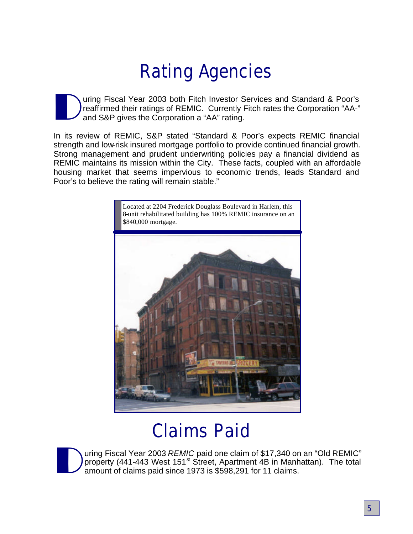# **Rating Agencies**

D uring Fiscal Year 2003 both Fitch Investor Services and Standard & Poor's reaffirmed their ratings of REMIC. Currently Fitch rates the Corporation "AA-" and S&P gives the Corporation a "AA" rating.

In its review of REMIC, S&P stated "Standard & Poor's expects REMIC financial strength and low-risk insured mortgage portfolio to provide continued financial growth. Strong management and prudent underwriting policies pay a financial dividend as REMIC maintains its mission within the City. These facts, coupled with an affordable housing market that seems impervious to economic trends, leads Standard and Poor's to believe the rating will remain stable."



# **Claims Paid**



uring Fiscal Year 2003 *REMIC* paid one claim of \$17,340 on an "Old REMIC" property (441-443 West 151<sup>st</sup> Street, Apartment 4B in Manhattan). The total amount of claims paid since 1973 is \$598,291 for 11 claims.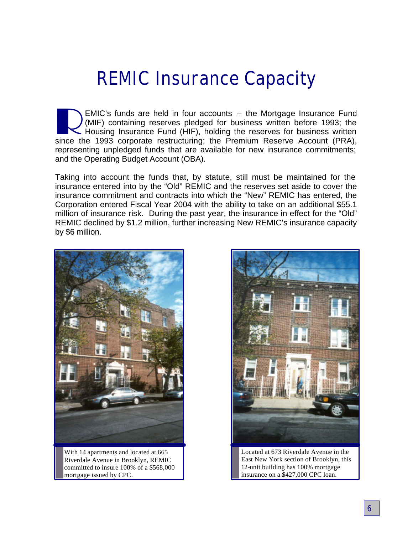# **REMIC Insurance Capacity**

EMIC's funds are held in four accounts – the Mortgage Insurance Fund (MIF) containing reserves pledged for business written before 1993; the Housing Insurance Fund (HIF), holding the reserves for business written since the EMIC's funds are held in four accounts – the Mortgage Insurance Fund (MIF) containing reserves pledged for business written before 1993; the Housing Insurance Fund (HIF), holding the reserves for business written representing unpledged funds that are available for new insurance commitments; and the Operating Budget Account (OBA).

Taking into account the funds that, by statute, still must be maintained for the insurance entered into by the "Old" REMIC and the reserves set aside to cover the insurance commitment and contracts into which the "New" REMIC has entered, the Corporation entered Fiscal Year 2004 with the ability to take on an additional \$55.1 million of insurance risk. During the past year, the insurance in effect for the "Old" REMIC declined by \$1.2 million, further increasing New REMIC's insurance capacity by \$6 million.



With 14 apartments and located at 665 Riverdale Avenue in Brooklyn, REMIC committed to insure 100% of a \$568,000 mortgage issued by CPC.



Located at 673 Riverdale Avenue in the East New York section of Brooklyn, this 12-unit building has 100% mortgage insurance on a \$427,000 CPC loan.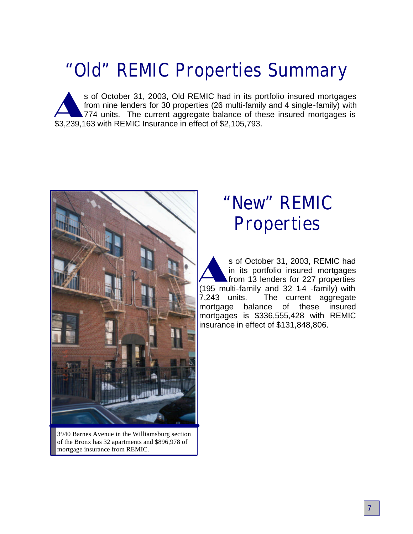# **"Old" REMIC Properties Summary**

s of October 31, 2003, Old REMIC had in its por from nine lenders for 30 properties (26 multi-famil 774 units. The current aggregate balance of the \$3,239,163 with REMIC Insurance in effect of \$2,105,793. s of October 31, 2003, Old REMIC had in its portfolio insured mortgages from nine lenders for 30 properties (26 multi-family and 4 single-family) with 774 units. The current aggregate balance of these insured mortgages is



3940 Barnes Avenue in the Williamsburg section of the Bronx has 32 apartments and \$896,978 of mortgage insurance from REMIC.

### **"New" REMIC Properties**

s of October 31, 2003, REMIC had<br>in its portfolio insured mortgages<br>from 13 lenders for 227 properties<br>(195 multi-family and 32 1-4 -family) with s of October 31, 2003, REMIC had in its portfolio insured mortgages from 13 lenders for 227 properties 7,243 units. The current aggregate mortgage balance of these insured mortgages is \$336,555,428 with REMIC insurance in effect of \$131,848,806.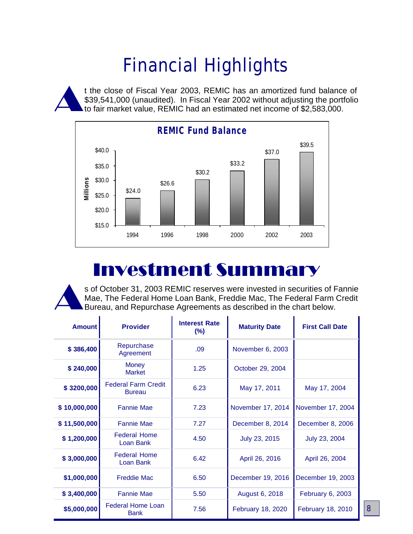# **Financial Highlights**

A t the close of Fiscal Year 2003, REMIC has an amortized fund balance of \$39,541,000 (unaudited). In Fiscal Year 2002 without adjusting the portfolio to fair market value, REMIC had an estimated net income of \$2,583,000.



### Investment Summary

A s of October 31, 2003 REMIC reserves were invested in securities of Fannie Mae, The Federal Home Loan Bank, Freddie Mac, The Federal Farm Credit Bureau, and Repurchase Agreements as described in the chart below.

| <b>Amount</b> | <b>Provider</b>                             | <b>Interest Rate</b><br>$(\%)$ | <b>Maturity Date</b> | <b>First Call Date</b> |
|---------------|---------------------------------------------|--------------------------------|----------------------|------------------------|
| \$386,400     | Repurchase<br>Agreement                     | .09                            | November 6, 2003     |                        |
| \$240,000     | <b>Money</b><br><b>Market</b>               | 1.25                           | October 29, 2004     |                        |
| \$3200,000    | <b>Federal Farm Credit</b><br><b>Bureau</b> | 6.23                           | May 17, 2011         | May 17, 2004           |
| \$10,000,000  | <b>Fannie Mae</b>                           | 7.23                           | November 17, 2014    | November 17, 2004      |
| \$11,500,000  | <b>Fannie Mae</b>                           | 7.27                           | December 8, 2014     | December 8, 2006       |
| \$1,200,000   | <b>Federal Home</b><br>Loan Bank            | 4.50                           | July 23, 2015        | July 23, 2004          |
| \$3,000,000   | <b>Federal Home</b><br>Loan Bank            | 6.42                           | April 26, 2016       | April 26, 2004         |
| \$1,000,000   | <b>Freddie Mac</b>                          | 6.50                           | December 19, 2016    | December 19, 2003      |
| \$3,400,000   | <b>Fannie Mae</b>                           | 5.50                           | August 6, 2018       | February 6, 2003       |
| \$5,000,000   | <b>Federal Home Loan</b><br><b>Bank</b>     | 7.56                           | February 18, 2020    | February 18, 2010      |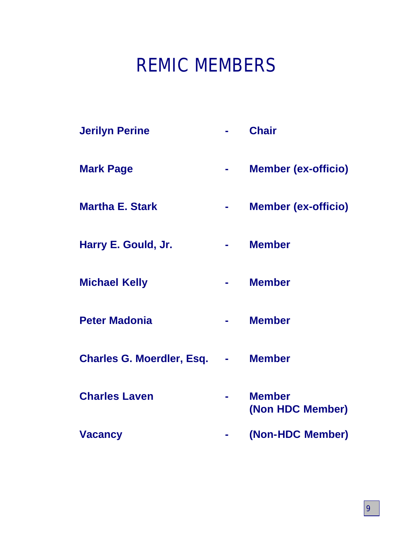# **REMIC MEMBERS**

| <b>Jerilyn Perine</b>            |   | <b>Chair</b>                      |
|----------------------------------|---|-----------------------------------|
| <b>Mark Page</b>                 | ۰ | <b>Member (ex-officio)</b>        |
| <b>Martha E. Stark</b>           |   | <b>Member (ex-officio)</b>        |
| Harry E. Gould, Jr.              |   | <b>Member</b>                     |
| <b>Michael Kelly</b>             |   | <b>Member</b>                     |
| <b>Peter Madonia</b>             |   | <b>Member</b>                     |
| <b>Charles G. Moerdler, Esq.</b> |   | <b>Member</b>                     |
| <b>Charles Laven</b>             |   | <b>Member</b><br>(Non HDC Member) |
| <b>Vacancy</b>                   |   | (Non-HDC Member)                  |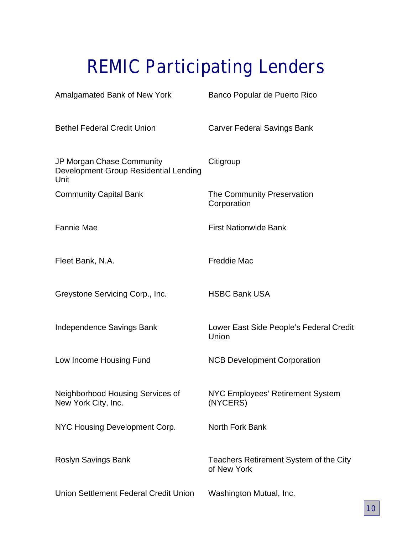# **REMIC Participating Lenders**

| Amalgamated Bank of New York                                               | Banco Popular de Puerto Rico                          |
|----------------------------------------------------------------------------|-------------------------------------------------------|
| <b>Bethel Federal Credit Union</b>                                         | Carver Federal Savings Bank                           |
| JP Morgan Chase Community<br>Development Group Residential Lending<br>Unit | Citigroup                                             |
| <b>Community Capital Bank</b>                                              | The Community Preservation<br>Corporation             |
| <b>Fannie Mae</b>                                                          | <b>First Nationwide Bank</b>                          |
| Fleet Bank, N.A.                                                           | <b>Freddie Mac</b>                                    |
| Greystone Servicing Corp., Inc.                                            | <b>HSBC Bank USA</b>                                  |
| Independence Savings Bank                                                  | Lower East Side People's Federal Credit<br>Union      |
| Low Income Housing Fund                                                    | <b>NCB Development Corporation</b>                    |
| Neighborhood Housing Services of<br>New York City, Inc.                    | NYC Employees' Retirement System<br>(NYCERS)          |
| NYC Housing Development Corp.                                              | <b>North Fork Bank</b>                                |
| Roslyn Savings Bank                                                        | Teachers Retirement System of the City<br>of New York |
| Union Settlement Federal Credit Union                                      | Washington Mutual, Inc.                               |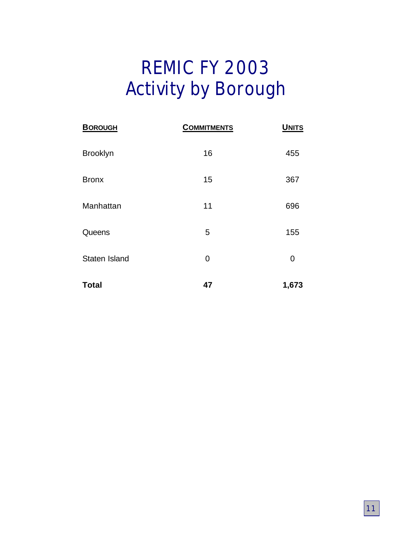# **REMIC FY 2003 Activity by Borough**

| <b>BOROUGH</b>  | <b>COMMITMENTS</b> | <b>UNITS</b> |
|-----------------|--------------------|--------------|
| <b>Brooklyn</b> | 16                 | 455          |
| <b>Bronx</b>    | 15                 | 367          |
| Manhattan       | 11                 | 696          |
| Queens          | 5                  | 155          |
| Staten Island   | 0                  | 0            |
| <b>Total</b>    | 47                 | 1,673        |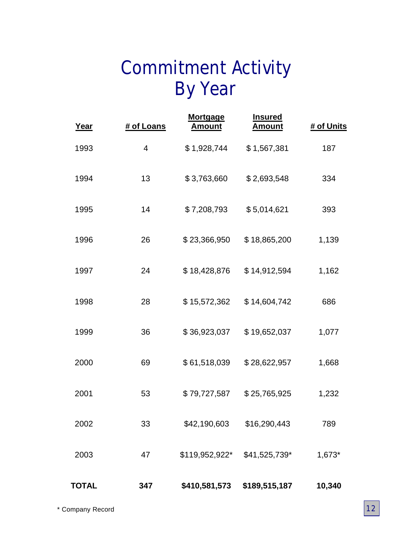# **Commitment Activity By Year**

| Year         | # of Loans | <b>Mortgage</b><br><b>Amount</b> | <b>Insured</b><br><b>Amount</b> | # of Units |
|--------------|------------|----------------------------------|---------------------------------|------------|
| 1993         | 4          | \$1,928,744                      | \$1,567,381                     | 187        |
| 1994         | 13         | \$3,763,660                      | \$2,693,548                     | 334        |
| 1995         | 14         | \$7,208,793                      | \$5,014,621                     | 393        |
| 1996         | 26         | \$23,366,950                     | \$18,865,200                    | 1,139      |
| 1997         | 24         | \$18,428,876                     | \$14,912,594                    | 1,162      |
| 1998         | 28         | \$15,572,362                     | \$14,604,742                    | 686        |
| 1999         | 36         | \$36,923,037                     | \$19,652,037                    | 1,077      |
| 2000         | 69         | \$61,518,039                     | \$28,622,957                    | 1,668      |
| 2001         | 53         | \$79,727,587                     | \$25,765,925                    | 1,232      |
| 2002         | 33         | \$42,190,603                     | \$16,290,443                    | 789        |
| 2003         | 47         | \$119,952,922*                   | \$41,525,739*                   | 1,673*     |
| <b>TOTAL</b> | 347        | \$410,581,573                    | \$189,515,187                   | 10,340     |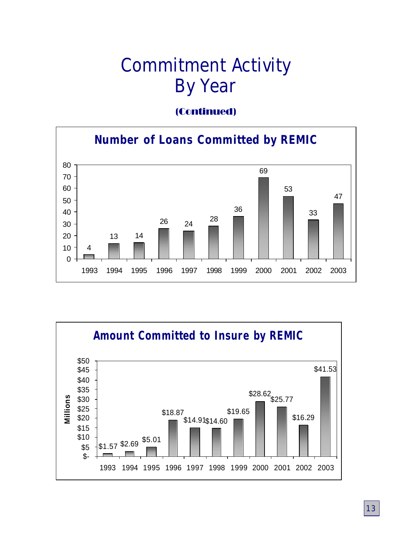# **Commitment Activity By Year**

### (Continued)



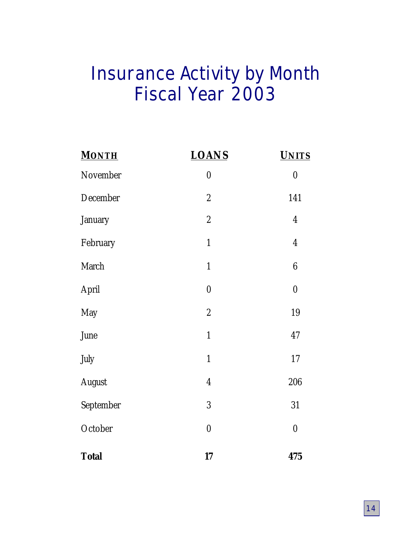# **Insurance Activity by Month Fiscal Year 2003**

| <b>MONTH</b>  | <b>LOANS</b>     | <b>UNITS</b>     |
|---------------|------------------|------------------|
| November      | $\boldsymbol{0}$ | $\pmb{0}$        |
| December      | $\boldsymbol{2}$ | 141              |
| January       | $\sqrt{2}$       | $\overline{4}$   |
| February      | $\mathbf{1}$     | $\boldsymbol{4}$ |
| March         | $\mathbf{1}$     | $\boldsymbol{6}$ |
| April         | $\pmb{0}$        | $\pmb{0}$        |
| May           | $\boldsymbol{2}$ | 19               |
| June          | $\mathbf{1}$     | 47               |
| July          | $\mathbf{1}$     | 17               |
| <b>August</b> | $\boldsymbol{4}$ | 206              |
| September     | 3                | 31               |
| October       | $\pmb{0}$        | $\boldsymbol{0}$ |
| <b>Total</b>  | 17               | 475              |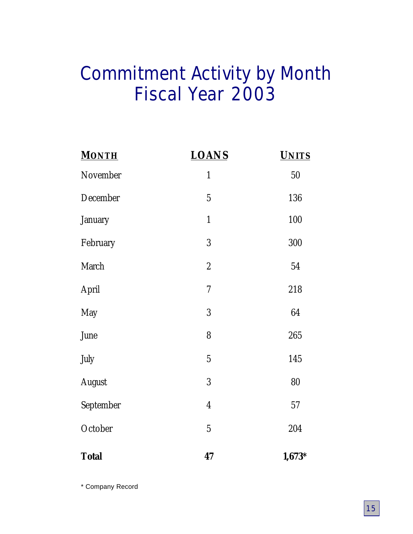# **Commitment Activity by Month Fiscal Year 2003**

| <b>MONTH</b>  | <b>LOANS</b>             | <b>UNITS</b> |
|---------------|--------------------------|--------------|
| November      | $\mathbf{1}$             | 50           |
| December      | $\overline{5}$           | 136          |
| January       | $\mathbf{1}$             | 100          |
| February      | 3                        | 300          |
| March         | $\boldsymbol{2}$         | 54           |
| April         | $\overline{\mathcal{U}}$ | 218          |
| May           | 3                        | 64           |
| June          | 8                        | 265          |
| July          | $\overline{5}$           | 145          |
| <b>August</b> | 3                        | 80           |
| September     | $\boldsymbol{4}$         | 57           |
| October       | $\overline{5}$           | 204          |
| <b>Total</b>  | 47                       | $1,673*$     |

\* Company Record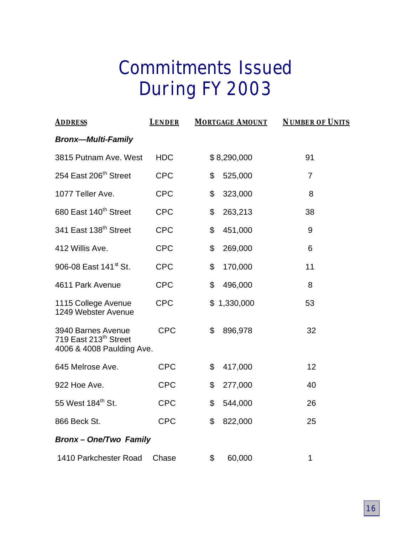# **Commitments Issued During FY 2003**

| <b>ADDRESS</b>                                                                       | <b>LENDER</b> | <b>MORTGAGE AMOUNT</b> | <b>NUMBER OF UNITS</b> |  |  |
|--------------------------------------------------------------------------------------|---------------|------------------------|------------------------|--|--|
| <b>Bronx-Multi-Family</b>                                                            |               |                        |                        |  |  |
| 3815 Putnam Ave. West                                                                | <b>HDC</b>    | \$8,290,000            | 91                     |  |  |
| 254 East 206 <sup>th</sup> Street                                                    | <b>CPC</b>    | \$<br>525,000          | $\overline{7}$         |  |  |
| 1077 Teller Ave.                                                                     | <b>CPC</b>    | \$<br>323,000          | 8                      |  |  |
| 680 East 140 <sup>th</sup> Street                                                    | <b>CPC</b>    | \$<br>263,213          | 38                     |  |  |
| 341 East 138 <sup>th</sup> Street                                                    | <b>CPC</b>    | \$<br>451,000          | 9                      |  |  |
| 412 Willis Ave.                                                                      | <b>CPC</b>    | 269,000<br>\$          | 6                      |  |  |
| 906-08 East 141 <sup>st</sup> St.                                                    | <b>CPC</b>    | \$<br>170,000          | 11                     |  |  |
| 4611 Park Avenue                                                                     | <b>CPC</b>    | 496,000<br>\$          | 8                      |  |  |
| 1115 College Avenue<br>1249 Webster Avenue                                           | <b>CPC</b>    | \$1,330,000            | 53                     |  |  |
| 3940 Barnes Avenue<br>719 East 213 <sup>th</sup> Street<br>4006 & 4008 Paulding Ave. | <b>CPC</b>    | \$<br>896,978          | 32                     |  |  |
| 645 Melrose Ave.                                                                     | <b>CPC</b>    | \$<br>417,000          | 12                     |  |  |
| 922 Hoe Ave.                                                                         | <b>CPC</b>    | \$<br>277,000          | 40                     |  |  |
| 55 West 184 <sup>th</sup> St.                                                        | <b>CPC</b>    | 544,000<br>\$          | 26                     |  |  |
| 866 Beck St.                                                                         | <b>CPC</b>    | \$<br>822,000          | 25                     |  |  |
| <b>Bronx-One/Two Family</b>                                                          |               |                        |                        |  |  |
| 1410 Parkchester Road                                                                | Chase         | \$<br>60,000           | 1                      |  |  |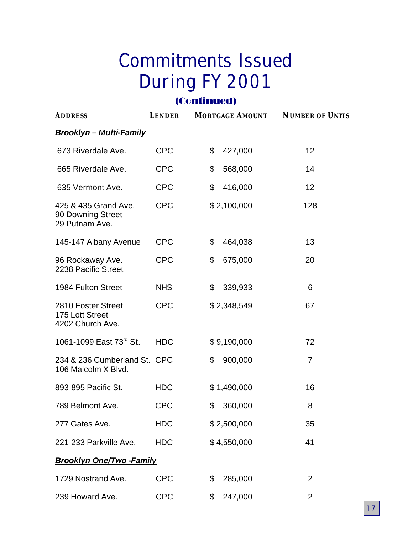# **Commitments Issued During FY 2001**

### (Continued)

| <b>ADDRESS</b>                                              | <b>LENDER</b> | <b>MORTGAGE AMOUNT</b> | <b>NUMBER OF UNITS</b> |
|-------------------------------------------------------------|---------------|------------------------|------------------------|
| <b>Brooklyn – Multi-Family</b>                              |               |                        |                        |
| 673 Riverdale Ave.                                          | <b>CPC</b>    | \$<br>427,000          | 12                     |
| 665 Riverdale Ave.                                          | <b>CPC</b>    | \$<br>568,000          | 14                     |
| 635 Vermont Ave.                                            | <b>CPC</b>    | \$<br>416,000          | 12                     |
| 425 & 435 Grand Ave.<br>90 Downing Street<br>29 Putnam Ave. | <b>CPC</b>    | \$2,100,000            | 128                    |
| 145-147 Albany Avenue                                       | <b>CPC</b>    | \$<br>464,038          | 13                     |
| 96 Rockaway Ave.<br>2238 Pacific Street                     | <b>CPC</b>    | \$<br>675,000          | 20                     |
| 1984 Fulton Street                                          | <b>NHS</b>    | \$<br>339,933          | 6                      |
| 2810 Foster Street<br>175 Lott Street<br>4202 Church Ave.   | <b>CPC</b>    | \$2,348,549            | 67                     |
| 1061-1099 East 73 <sup>rd</sup> St.                         | <b>HDC</b>    | \$9,190,000            | 72                     |
| 234 & 236 Cumberland St. CPC<br>106 Malcolm X Blvd.         |               | 900,000<br>\$          | $\overline{7}$         |
| 893-895 Pacific St.                                         | <b>HDC</b>    | \$1,490,000            | 16                     |
| 789 Belmont Ave.                                            | <b>CPC</b>    | \$<br>360,000          | 8                      |
| 277 Gates Ave.                                              | <b>HDC</b>    | \$2,500,000            | 35                     |
| 221-233 Parkville Ave.                                      | <b>HDC</b>    | \$4,550,000            | 41                     |
| <b>Brooklyn One/Two-Family</b>                              |               |                        |                        |
| 1729 Nostrand Ave.                                          | <b>CPC</b>    | \$<br>285,000          | 2                      |
| 239 Howard Ave.                                             | <b>CPC</b>    | 247,000<br>\$          | 2                      |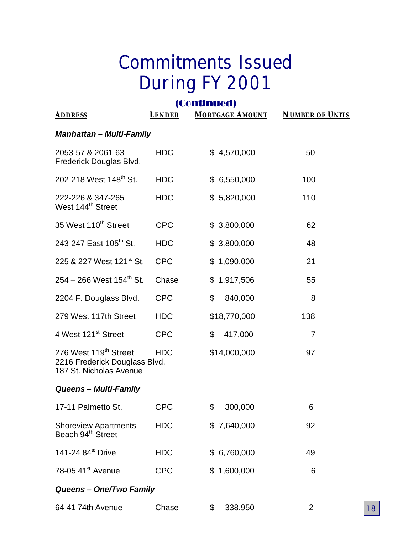# **Commitments Issued During FY 2001**

# (Continued)

| <b>ADDRESS</b>                                                                    | <b>LENDER</b> | <b>MORTGAGE AMOUNT</b> | <b>NUMBER OF UNITS</b> |  |  |
|-----------------------------------------------------------------------------------|---------------|------------------------|------------------------|--|--|
| <b>Manhattan - Multi-Family</b>                                                   |               |                        |                        |  |  |
| 2053-57 & 2061-63<br>Frederick Douglas Blvd.                                      | <b>HDC</b>    | \$4,570,000            | 50                     |  |  |
| 202-218 West 148 <sup>th</sup> St.                                                | <b>HDC</b>    | \$6,550,000            | 100                    |  |  |
| 222-226 & 347-265<br>West 144 <sup>th</sup> Street                                | <b>HDC</b>    | \$5,820,000            | 110                    |  |  |
| 35 West 110 <sup>th</sup> Street                                                  | <b>CPC</b>    | \$3,800,000            | 62                     |  |  |
| 243-247 East 105 <sup>th</sup> St.                                                | <b>HDC</b>    | \$3,800,000            | 48                     |  |  |
| 225 & 227 West 121 <sup>st</sup> St.                                              | <b>CPC</b>    | \$1,090,000            | 21                     |  |  |
| $254 - 266$ West 154 <sup>th</sup> St.                                            | Chase         | \$1,917,506            | 55                     |  |  |
| 2204 F. Douglass Blvd.                                                            | <b>CPC</b>    | \$<br>840,000          | 8                      |  |  |
| 279 West 117th Street                                                             | <b>HDC</b>    | \$18,770,000           | 138                    |  |  |
| 4 West 121 <sup>st</sup> Street                                                   | <b>CPC</b>    | 417,000<br>\$          | 7                      |  |  |
| 276 West 119th Street<br>2216 Frederick Douglass Blvd.<br>187 St. Nicholas Avenue | <b>HDC</b>    | \$14,000,000           | 97                     |  |  |
| Queens - Multi-Family                                                             |               |                        |                        |  |  |
| 17-11 Palmetto St.                                                                | <b>CPC</b>    | \$<br>300,000          | 6                      |  |  |
| <b>Shoreview Apartments</b><br>Beach 94 <sup>th</sup> Street                      | <b>HDC</b>    | \$7,640,000            | 92                     |  |  |
| 141-24 84 <sup>st</sup> Drive                                                     | <b>HDC</b>    | \$6,760,000            | 49                     |  |  |
| 78-05 41 $st$ Avenue                                                              | <b>CPC</b>    | \$1,600,000            | 6                      |  |  |
| Queens - One/Two Family                                                           |               |                        |                        |  |  |
| 64-41 74th Avenue                                                                 | Chase         | \$<br>338,950          | 2                      |  |  |

**18**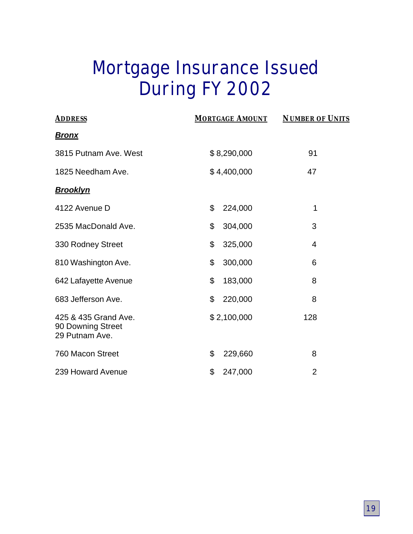# **Mortgage Insurance Issued During FY 2002**

| <b>ADDRESS</b>                                              | <b>MORTGAGE AMOUNT</b> | <b>NUMBER OF UNITS</b> |
|-------------------------------------------------------------|------------------------|------------------------|
| <u>Bronx</u>                                                |                        |                        |
| 3815 Putnam Ave. West                                       | \$8,290,000            | 91                     |
| 1825 Needham Ave.                                           | \$4,400,000            | 47                     |
| <u>Brooklyn</u>                                             |                        |                        |
| 4122 Avenue D                                               | \$<br>224,000          | 1                      |
| 2535 MacDonald Ave.                                         | \$<br>304,000          | 3                      |
| 330 Rodney Street                                           | \$<br>325,000          | 4                      |
| 810 Washington Ave.                                         | \$<br>300,000          | 6                      |
| 642 Lafayette Avenue                                        | \$<br>183,000          | 8                      |
| 683 Jefferson Ave.                                          | \$<br>220,000          | 8                      |
| 425 & 435 Grand Ave.<br>90 Downing Street<br>29 Putnam Ave. | \$2,100,000            | 128                    |
| 760 Macon Street                                            | \$<br>229,660          | 8                      |
| 239 Howard Avenue                                           | \$<br>247,000          | $\overline{2}$         |